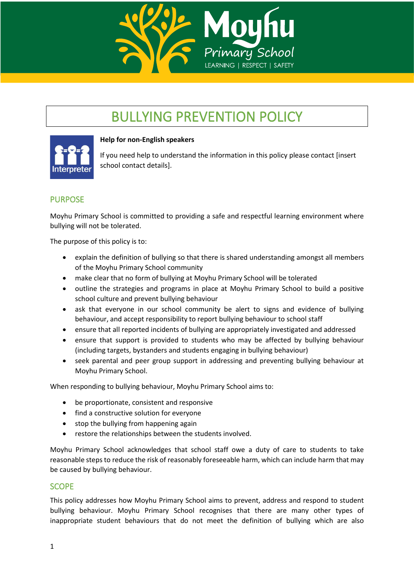

# BULLYING PREVENTION POLICY



#### **Help for non-English speakers**

If you need help to understand the information in this policy please contact [insert school contact details].

## PURPOSE

Moyhu Primary School is committed to providing a safe and respectful learning environment where bullying will not be tolerated.

The purpose of this policy is to:

- explain the definition of bullying so that there is shared understanding amongst all members of the Moyhu Primary School community
- make clear that no form of bullying at Moyhu Primary School will be tolerated
- outline the strategies and programs in place at Moyhu Primary School to build a positive school culture and prevent bullying behaviour
- ask that everyone in our school community be alert to signs and evidence of bullying behaviour, and accept responsibility to report bullying behaviour to school staff
- ensure that all reported incidents of bullying are appropriately investigated and addressed
- ensure that support is provided to students who may be affected by bullying behaviour (including targets, bystanders and students engaging in bullying behaviour)
- seek parental and peer group support in addressing and preventing bullying behaviour at Moyhu Primary School.

When responding to bullying behaviour, Moyhu Primary School aims to:

- be proportionate, consistent and responsive
- find a constructive solution for everyone
- stop the bullying from happening again
- restore the relationships between the students involved.

Moyhu Primary School acknowledges that school staff owe a duty of care to students to take reasonable steps to reduce the risk of reasonably foreseeable harm, which can include harm that may be caused by bullying behaviour.

## **SCOPE**

This policy addresses how Moyhu Primary School aims to prevent, address and respond to student bullying behaviour. Moyhu Primary School recognises that there are many other types of inappropriate student behaviours that do not meet the definition of bullying which are also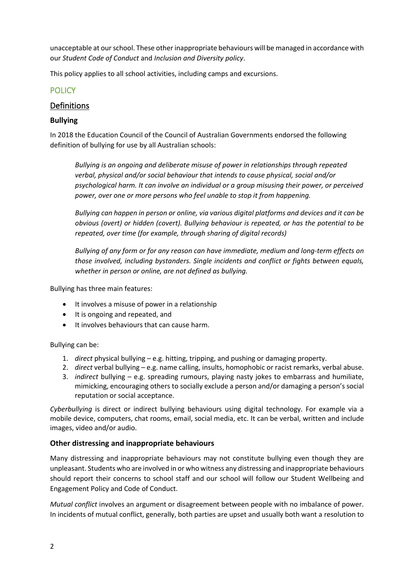unacceptable at our school. These other inappropriate behaviours will be managed in accordance with our *Student Code of Conduct* and *Inclusion and Diversity policy*.

This policy applies to all school activities, including camps and excursions.

# POLICY

# Definitions

## **Bullying**

In 2018 the Education Council of the Council of Australian Governments endorsed the following definition of bullying for use by all Australian schools:

*Bullying is an ongoing and deliberate misuse of power in relationships through repeated verbal, physical and/or social behaviour that intends to cause physical, social and/or psychological harm. It can involve an individual or a group misusing their power, or perceived power, over one or more persons who feel unable to stop it from happening.*

*Bullying can happen in person or online, via various digital platforms and devices and it can be obvious (overt) or hidden (covert). Bullying behaviour is repeated, or has the potential to be repeated, over time (for example, through sharing of digital records)*

*Bullying of any form or for any reason can have immediate, medium and long-term effects on those involved, including bystanders. Single incidents and conflict or fights between equals, whether in person or online, are not defined as bullying.* 

Bullying has three main features:

- It involves a misuse of power in a relationship
- It is ongoing and repeated, and
- It involves behaviours that can cause harm.

Bullying can be:

- 1. *direct* physical bullying e.g. hitting, tripping, and pushing or damaging property.
- 2. *direct* verbal bullying e.g. name calling, insults, homophobic or racist remarks, verbal abuse.
- 3. *indirect* bullying e.g. spreading rumours, playing nasty jokes to embarrass and humiliate, mimicking, encouraging others to socially exclude a person and/or damaging a person's social reputation or social acceptance.

*Cyberbullying* is direct or indirect bullying behaviours using digital technology. For example via a mobile device, computers, chat rooms, email, social media, etc. It can be verbal, written and include images, video and/or audio.

## **Other distressing and inappropriate behaviours**

Many distressing and inappropriate behaviours may not constitute bullying even though they are unpleasant. Students who are involved in or who witness any distressing and inappropriate behaviours should report their concerns to school staff and our school will follow our Student Wellbeing and Engagement Policy and Code of Conduct.

*Mutual conflict* involves an argument or disagreement between people with no imbalance of power. In incidents of mutual conflict, generally, both parties are upset and usually both want a resolution to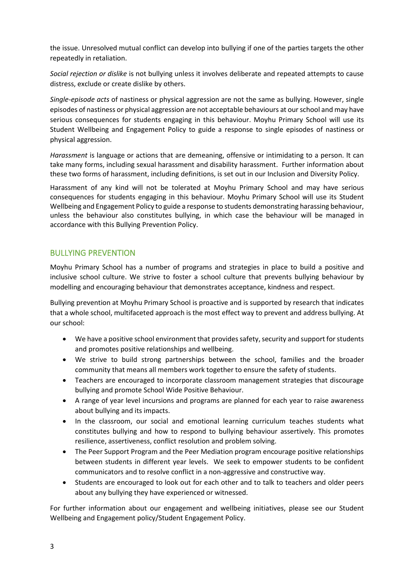the issue. Unresolved mutual conflict can develop into bullying if one of the parties targets the other repeatedly in retaliation.

*Social rejection or dislike* is not bullying unless it involves deliberate and repeated attempts to cause distress, exclude or create dislike by others.

*Single-episode acts* of nastiness or physical aggression are not the same as bullying. However, single episodes of nastiness or physical aggression are not acceptable behaviours at our school and may have serious consequences for students engaging in this behaviour. Moyhu Primary School will use its Student Wellbeing and Engagement Policy to guide a response to single episodes of nastiness or physical aggression.

*Harassment* is language or actions that are demeaning, offensive or intimidating to a person. It can take many forms, including sexual harassment and disability harassment. Further information about these two forms of harassment, including definitions, is set out in our Inclusion and Diversity Policy.

Harassment of any kind will not be tolerated at Moyhu Primary School and may have serious consequences for students engaging in this behaviour. Moyhu Primary School will use its Student Wellbeing and Engagement Policy to guide a response to students demonstrating harassing behaviour, unless the behaviour also constitutes bullying, in which case the behaviour will be managed in accordance with this Bullying Prevention Policy.

## BULLYING PREVENTION

Moyhu Primary School has a number of programs and strategies in place to build a positive and inclusive school culture. We strive to foster a school culture that prevents bullying behaviour by modelling and encouraging behaviour that demonstrates acceptance, kindness and respect.

Bullying prevention at Moyhu Primary School is proactive and is supported by research that indicates that a whole school, multifaceted approach is the most effect way to prevent and address bullying. At our school:

- We have a positive school environment that provides safety, security and support for students and promotes positive relationships and wellbeing.
- We strive to build strong partnerships between the school, families and the broader community that means all members work together to ensure the safety of students.
- Teachers are encouraged to incorporate classroom management strategies that discourage bullying and promote School Wide Positive Behaviour.
- A range of year level incursions and programs are planned for each year to raise awareness about bullying and its impacts.
- In the classroom, our social and emotional learning curriculum teaches students what constitutes bullying and how to respond to bullying behaviour assertively. This promotes resilience, assertiveness, conflict resolution and problem solving.
- The Peer Support Program and the Peer Mediation program encourage positive relationships between students in different year levels. We seek to empower students to be confident communicators and to resolve conflict in a non-aggressive and constructive way.
- Students are encouraged to look out for each other and to talk to teachers and older peers about any bullying they have experienced or witnessed.

For further information about our engagement and wellbeing initiatives, please see our Student Wellbeing and Engagement policy/Student Engagement Policy.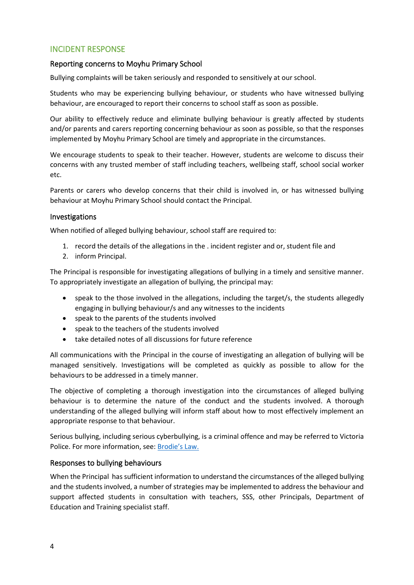## INCIDENT RESPONSE

## Reporting concerns to Moyhu Primary School

Bullying complaints will be taken seriously and responded to sensitively at our school.

Students who may be experiencing bullying behaviour, or students who have witnessed bullying behaviour, are encouraged to report their concerns to school staff as soon as possible.

Our ability to effectively reduce and eliminate bullying behaviour is greatly affected by students and/or parents and carers reporting concerning behaviour as soon as possible, so that the responses implemented by Moyhu Primary School are timely and appropriate in the circumstances.

We encourage students to speak to their teacher. However, students are welcome to discuss their concerns with any trusted member of staff including teachers, wellbeing staff, school social worker etc.

Parents or carers who develop concerns that their child is involved in, or has witnessed bullying behaviour at Moyhu Primary School should contact the Principal.

#### Investigations

When notified of alleged bullying behaviour, school staff are required to:

- 1. record the details of the allegations in the . incident register and or, student file and
- 2. inform Principal.

The Principal is responsible for investigating allegations of bullying in a timely and sensitive manner. To appropriately investigate an allegation of bullying, the principal may:

- speak to the those involved in the allegations, including the target/s, the students allegedly engaging in bullying behaviour/s and any witnesses to the incidents
- speak to the parents of the students involved
- speak to the teachers of the students involved
- take detailed notes of all discussions for future reference

All communications with the Principal in the course of investigating an allegation of bullying will be managed sensitively. Investigations will be completed as quickly as possible to allow for the behaviours to be addressed in a timely manner.

The objective of completing a thorough investigation into the circumstances of alleged bullying behaviour is to determine the nature of the conduct and the students involved. A thorough understanding of the alleged bullying will inform staff about how to most effectively implement an appropriate response to that behaviour.

Serious bullying, including serious cyberbullying, is a criminal offence and may be referred to Victoria Police. For more information, see: [Brodie's Law.](http://www.education.vic.gov.au/about/programs/bullystoppers/Pages/advicesheetbrodieslaw.aspx)

## Responses to bullying behaviours

When the Principal has sufficient information to understand the circumstances of the alleged bullying and the students involved, a number of strategies may be implemented to address the behaviour and support affected students in consultation with teachers, SSS, other Principals, Department of Education and Training specialist staff.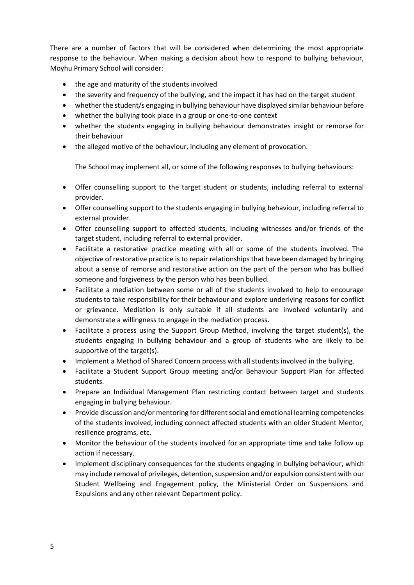There are a number of factors that will be considered when determining the most appropriate response to the behaviour. When making a decision about how to respond to bullying behaviour, Moyhu Primary School will consider:

- the age and maturity of the students involved
- the severity and frequency of the bullying, and the impact it has had on the target student
- whether the student/s engaging in bullying behaviour have displayed similar behaviour before
- whether the bullying took place in a group or one-to-one context
- whether the students engaging in bullying behaviour demonstrates insight or remorse for their behaviour
- the alleged motive of the behaviour, including any element of provocation.

The School may implement all, or some of the following responses to bullying behaviours:

- Offer counselling support to the target student or students, including referral to external provider.
- Offer counselling support to the students engaging in bullying behaviour, including referral to external provider.
- Offer counselling support to affected students, including witnesses and/or friends of the target student, including referral to external provider.
- Facilitate a restorative practice meeting with all or some of the students involved. The objective of restorative practice is to repair relationships that have been damaged by bringing about a sense of remorse and restorative action on the part of the person who has bullied someone and forgiveness by the person who has been bullied.
- Facilitate a mediation between some or all of the students involved to help to encourage students to take responsibility for their behaviour and explore underlying reasons for conflict or grievance. Mediation is only suitable if all students are involved voluntarily and demonstrate a willingness to engage in the mediation process.
- Facilitate a process using the Support Group Method, involving the target student(s), the students engaging in bullying behaviour and a group of students who are likely to be supportive of the target(s).
- Implement a Method of Shared Concern process with all students involved in the bullying.
- Facilitate a Student Support Group meeting and/or Behaviour Support Plan for affected students.
- Prepare an Individual Management Plan restricting contact between target and students engaging in bullying behaviour.
- Provide discussion and/or mentoring for different social and emotional learning competencies of the students involved, including connect affected students with an older Student Mentor, resilience programs, etc.
- Monitor the behaviour of the students involved for an appropriate time and take follow up action if necessary.
- Implement disciplinary consequences for the students engaging in bullying behaviour, which may include removal of privileges, detention, suspension and/or expulsion consistent with our Student Wellbeing and Engagement policy, the Ministerial Order on Suspensions and Expulsions and any other relevant Department policy.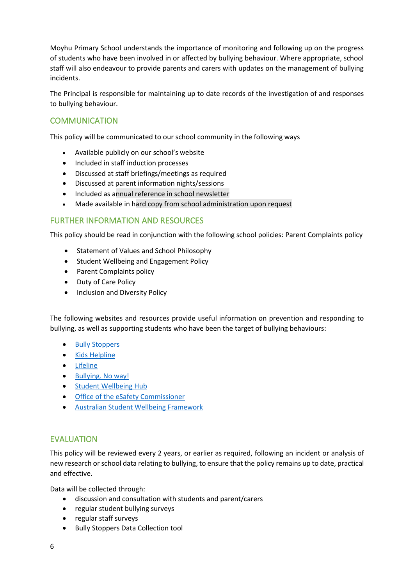Moyhu Primary School understands the importance of monitoring and following up on the progress of students who have been involved in or affected by bullying behaviour. Where appropriate, school staff will also endeavour to provide parents and carers with updates on the management of bullying incidents.

The Principal is responsible for maintaining up to date records of the investigation of and responses to bullying behaviour.

# **COMMUNICATION**

This policy will be communicated to our school community in the following ways

- Available publicly on our school's website
- Included in staff induction processes
- Discussed at staff briefings/meetings as required
- Discussed at parent information nights/sessions
- Included as annual reference in school newsletter
- Made available in hard copy from school administration upon request

## FURTHER INFORMATION AND RESOURCES

This policy should be read in conjunction with the following school policies: Parent Complaints policy

- Statement of Values and School Philosophy
- Student Wellbeing and Engagement Policy
- Parent Complaints policy
- Duty of Care Policy
- Inclusion and Diversity Policy

The following websites and resources provide useful information on prevention and responding to bullying, as well as supporting students who have been the target of bullying behaviours:

- [Bully Stoppers](https://bullyingnoway.gov.au/PreventingBullying/Planning/Pages/School-policy.aspx)
- Kids [Helpline](https://kidshelpline.com.au/)
- [Lifeline](https://www.lifeline.org.au/)
- [Bullying. No way!](https://bullyingnoway.gov.au/PreventingBullying/Planning/Pages/School-policy.aspx)
- [Student Wellbeing Hub](https://www.studentwellbeinghub.edu.au/)
- [Office of the eSafety Commissioner](https://www.esafety.gov.au/)
- [Australian Student Wellbeing Framework](https://www.studentwellbeinghub.edu.au/resources/detail?id=dd6b5222-d5c5-6d32-997d-ff0000a69c30#/)

## EVALUATION

This policy will be reviewed every 2 years, or earlier as required, following an incident or analysis of new research or school data relating to bullying, to ensure that the policy remains up to date, practical and effective.

Data will be collected through:

- discussion and consultation with students and parent/carers
- regular student bullying surveys
- regular staff surveys
- Bully Stoppers Data Collection tool